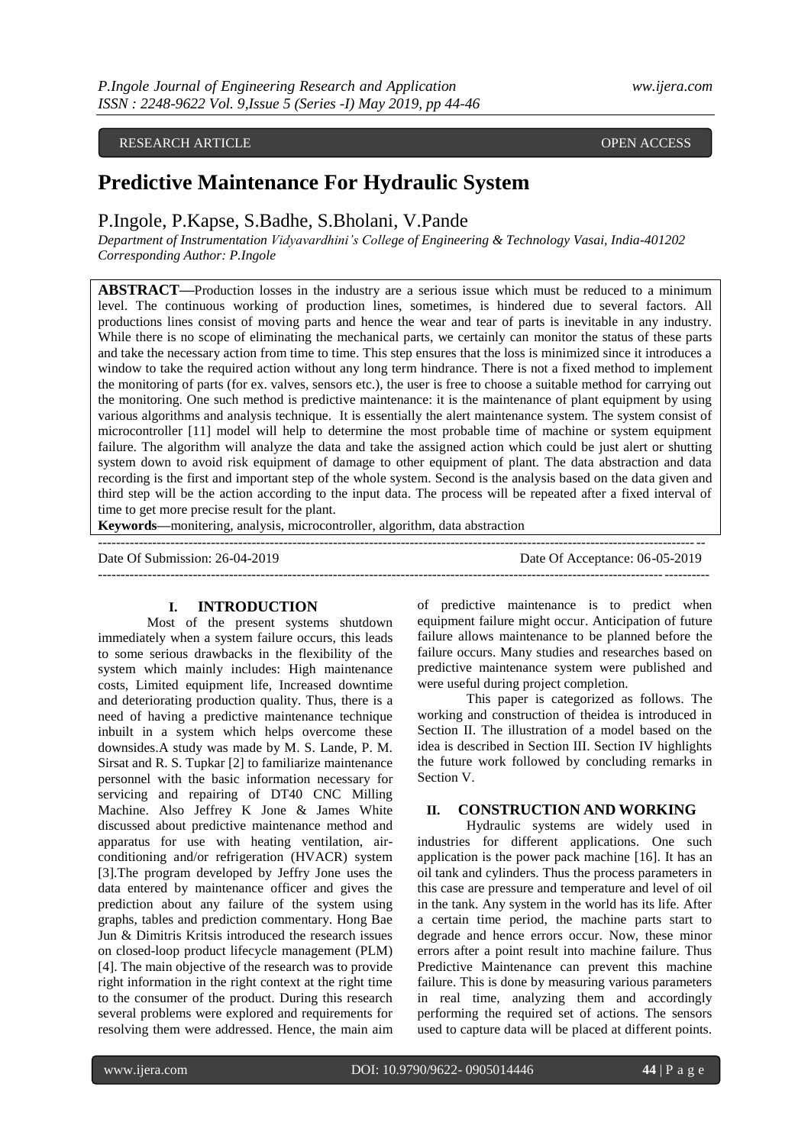## RESEARCH ARTICLE **CONSERVERS** OPEN ACCESS

# **Predictive Maintenance For Hydraulic System**

P.Ingole, P.Kapse, S.Badhe, S.Bholani, V.Pande

*Department of Instrumentation Vidyavardhini's College of Engineering & Technology Vasai, India-401202 Corresponding Author: P.Ingole*

**ABSTRACT—**Production losses in the industry are a serious issue which must be reduced to a minimum level. The continuous working of production lines, sometimes, is hindered due to several factors. All productions lines consist of moving parts and hence the wear and tear of parts is inevitable in any industry. While there is no scope of eliminating the mechanical parts, we certainly can monitor the status of these parts and take the necessary action from time to time. This step ensures that the loss is minimized since it introduces a window to take the required action without any long term hindrance. There is not a fixed method to implement the monitoring of parts (for ex. valves, sensors etc.), the user is free to choose a suitable method for carrying out the monitoring. One such method is predictive maintenance: it is the maintenance of plant equipment by using various algorithms and analysis technique. It is essentially the alert maintenance system. The system consist of microcontroller [11] model will help to determine the most probable time of machine or system equipment failure. The algorithm will analyze the data and take the assigned action which could be just alert or shutting system down to avoid risk equipment of damage to other equipment of plant. The data abstraction and data recording is the first and important step of the whole system. Second is the analysis based on the data given and third step will be the action according to the input data. The process will be repeated after a fixed interval of time to get more precise result for the plant.

**Keywords—**monitering, analysis, microcontroller, algorithm, data abstraction

Date Of Submission: 26-04-2019 Date Of Acceptance: 06-05-2019

--------------------------------------------------------------------------------------------------------------------------------------

## ---------------------------------------------------------------------------------------------------------------------------------------

## **I. INTRODUCTION**

Most of the present systems shutdown immediately when a system failure occurs, this leads to some serious drawbacks in the flexibility of the system which mainly includes: High maintenance costs, Limited equipment life, Increased downtime and deteriorating production quality. Thus, there is a need of having a predictive maintenance technique inbuilt in a system which helps overcome these downsides.A study was made by M. S. Lande, P. M. Sirsat and R. S. Tupkar [2] to familiarize maintenance personnel with the basic information necessary for servicing and repairing of DT40 CNC Milling Machine. Also Jeffrey K Jone & James White discussed about predictive maintenance method and apparatus for use with heating ventilation, airconditioning and/or refrigeration (HVACR) system [3].The program developed by Jeffry Jone uses the data entered by maintenance officer and gives the prediction about any failure of the system using graphs, tables and prediction commentary. Hong Bae Jun & Dimitris Kritsis introduced the research issues on closed-loop product lifecycle management (PLM) [4]. The main objective of the research was to provide right information in the right context at the right time to the consumer of the product. During this research several problems were explored and requirements for resolving them were addressed. Hence, the main aim

of predictive maintenance is to predict when equipment failure might occur. Anticipation of future failure allows maintenance to be planned before the failure occurs. Many studies and researches based on predictive maintenance system were published and were useful during project completion.

This paper is categorized as follows. The working and construction of theidea is introduced in Section II. The illustration of a model based on the idea is described in Section III. Section IV highlights the future work followed by concluding remarks in Section V.

## **II. CONSTRUCTION AND WORKING**

Hydraulic systems are widely used in industries for different applications. One such application is the power pack machine [16]. It has an oil tank and cylinders. Thus the process parameters in this case are pressure and temperature and level of oil in the tank. Any system in the world has its life. After a certain time period, the machine parts start to degrade and hence errors occur. Now, these minor errors after a point result into machine failure. Thus Predictive Maintenance can prevent this machine failure. This is done by measuring various parameters in real time, analyzing them and accordingly performing the required set of actions. The sensors used to capture data will be placed at different points.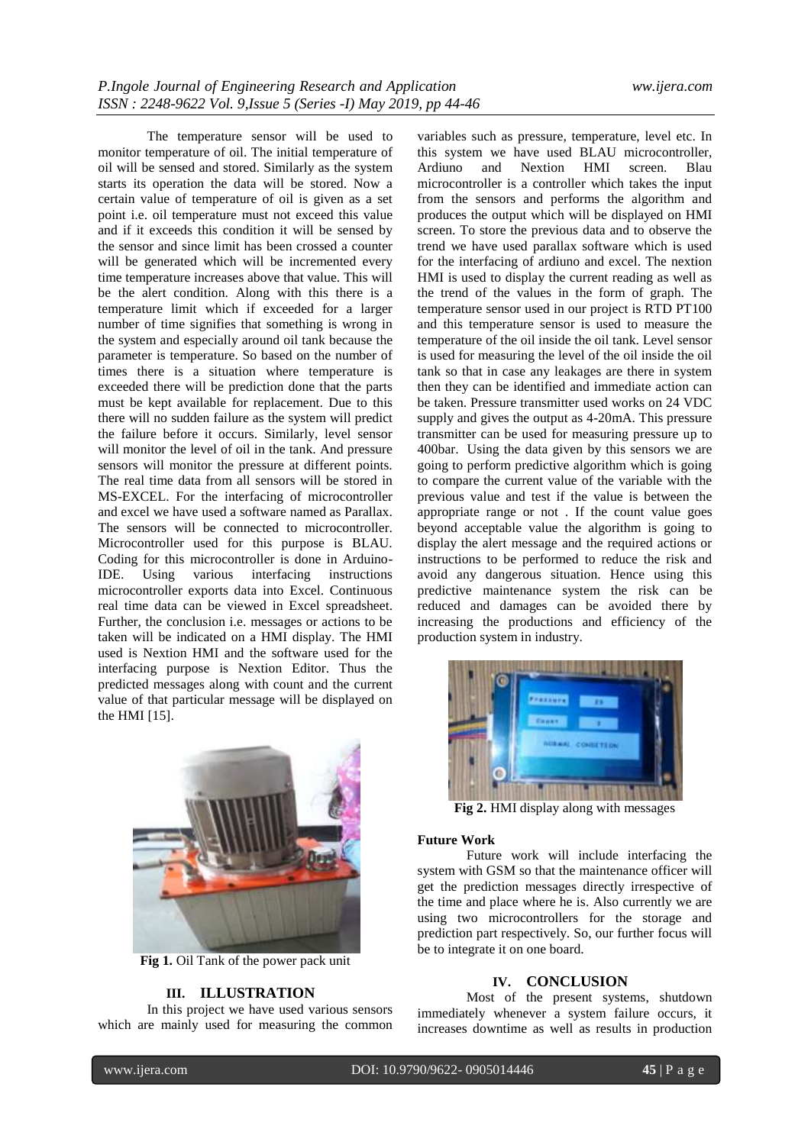The temperature sensor will be used to monitor temperature of oil. The initial temperature of oil will be sensed and stored. Similarly as the system starts its operation the data will be stored. Now a certain value of temperature of oil is given as a set point i.e. oil temperature must not exceed this value and if it exceeds this condition it will be sensed by the sensor and since limit has been crossed a counter will be generated which will be incremented every time temperature increases above that value. This will be the alert condition. Along with this there is a temperature limit which if exceeded for a larger number of time signifies that something is wrong in the system and especially around oil tank because the parameter is temperature. So based on the number of times there is a situation where temperature is exceeded there will be prediction done that the parts must be kept available for replacement. Due to this there will no sudden failure as the system will predict the failure before it occurs. Similarly, level sensor will monitor the level of oil in the tank. And pressure sensors will monitor the pressure at different points. The real time data from all sensors will be stored in MS-EXCEL. For the interfacing of microcontroller and excel we have used a software named as Parallax. The sensors will be connected to microcontroller. Microcontroller used for this purpose is BLAU. Coding for this microcontroller is done in Arduino-IDE. Using various interfacing instructions microcontroller exports data into Excel. Continuous real time data can be viewed in Excel spreadsheet. Further, the conclusion i.e. messages or actions to be taken will be indicated on a HMI display. The HMI used is Nextion HMI and the software used for the interfacing purpose is Nextion Editor. Thus the predicted messages along with count and the current value of that particular message will be displayed on the HMI [15].



**Fig 1.** Oil Tank of the power pack unit

## **III. ILLUSTRATION**

In this project we have used various sensors which are mainly used for measuring the common

variables such as pressure, temperature, level etc. In this system we have used BLAU microcontroller, Ardiuno and Nextion HMI screen. Blau microcontroller is a controller which takes the input from the sensors and performs the algorithm and produces the output which will be displayed on HMI screen. To store the previous data and to observe the trend we have used parallax software which is used for the interfacing of ardiuno and excel. The nextion HMI is used to display the current reading as well as the trend of the values in the form of graph. The temperature sensor used in our project is RTD PT100 and this temperature sensor is used to measure the temperature of the oil inside the oil tank. Level sensor is used for measuring the level of the oil inside the oil tank so that in case any leakages are there in system then they can be identified and immediate action can be taken. Pressure transmitter used works on 24 VDC supply and gives the output as 4-20mA. This pressure transmitter can be used for measuring pressure up to 400bar. Using the data given by this sensors we are going to perform predictive algorithm which is going to compare the current value of the variable with the previous value and test if the value is between the appropriate range or not . If the count value goes beyond acceptable value the algorithm is going to display the alert message and the required actions or instructions to be performed to reduce the risk and avoid any dangerous situation. Hence using this predictive maintenance system the risk can be reduced and damages can be avoided there by increasing the productions and efficiency of the production system in industry.



**Fig 2.** HMI display along with messages

## **Future Work**

Future work will include interfacing the system with GSM so that the maintenance officer will get the prediction messages directly irrespective of the time and place where he is. Also currently we are using two microcontrollers for the storage and prediction part respectively. So, our further focus will be to integrate it on one board.

### **IV. CONCLUSION**

Most of the present systems, shutdown immediately whenever a system failure occurs, it increases downtime as well as results in production